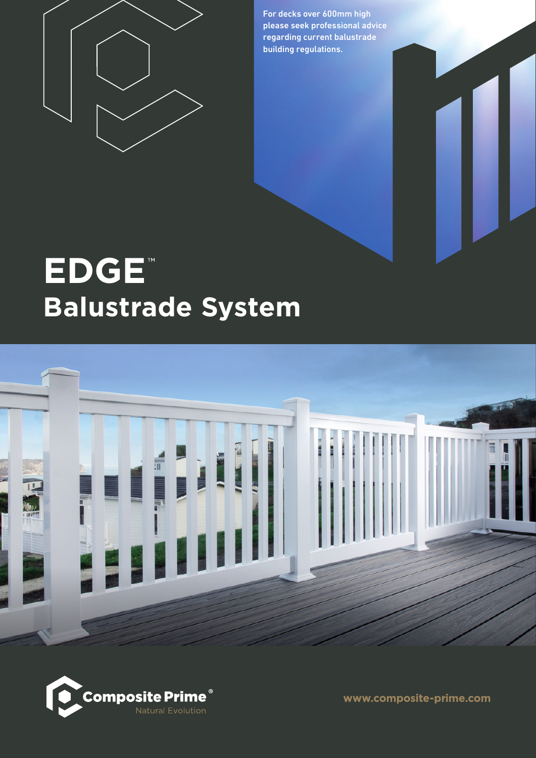

For decks over 600mm high please seek professional advice regarding current balustrade building regulations.

# **EDGE Balustrade System**





www.composite-prime.com